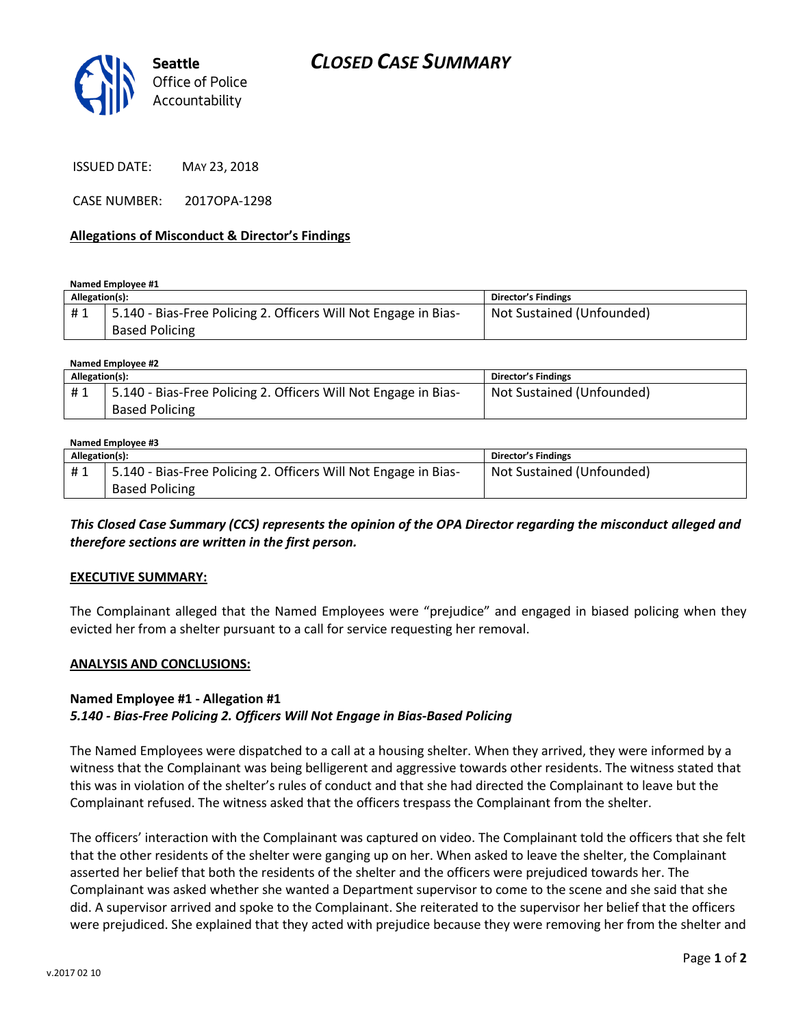

ISSUED DATE: MAY 23, 2018

CASE NUMBER: 2017OPA-1298

#### **Allegations of Misconduct & Director's Findings**

**Named Employee #1**

| Allegation(s): |                                                                                          | Director's Findings       |
|----------------|------------------------------------------------------------------------------------------|---------------------------|
| #1             | 5.140 - Bias-Free Policing 2. Officers Will Not Engage in Bias-<br><b>Based Policing</b> | Not Sustained (Unfounded) |

| Named Employee #2 |                                                                 |                           |  |
|-------------------|-----------------------------------------------------------------|---------------------------|--|
| Allegation(s):    |                                                                 | Director's Findings       |  |
| #1                | 5.140 - Bias-Free Policing 2. Officers Will Not Engage in Bias- | Not Sustained (Unfounded) |  |
|                   | <b>Based Policing</b>                                           |                           |  |

#### **Named Employee #3 Allegation(s): Director's Findings** # 1 | 5.140 - Bias-Free Policing 2. Officers Will Not Engage in Bias-Based Policing Not Sustained (Unfounded)

*This Closed Case Summary (CCS) represents the opinion of the OPA Director regarding the misconduct alleged and therefore sections are written in the first person.* 

### **EXECUTIVE SUMMARY:**

The Complainant alleged that the Named Employees were "prejudice" and engaged in biased policing when they evicted her from a shelter pursuant to a call for service requesting her removal.

#### **ANALYSIS AND CONCLUSIONS:**

### **Named Employee #1 - Allegation #1** *5.140 - Bias-Free Policing 2. Officers Will Not Engage in Bias-Based Policing*

The Named Employees were dispatched to a call at a housing shelter. When they arrived, they were informed by a witness that the Complainant was being belligerent and aggressive towards other residents. The witness stated that this was in violation of the shelter's rules of conduct and that she had directed the Complainant to leave but the Complainant refused. The witness asked that the officers trespass the Complainant from the shelter.

The officers' interaction with the Complainant was captured on video. The Complainant told the officers that she felt that the other residents of the shelter were ganging up on her. When asked to leave the shelter, the Complainant asserted her belief that both the residents of the shelter and the officers were prejudiced towards her. The Complainant was asked whether she wanted a Department supervisor to come to the scene and she said that she did. A supervisor arrived and spoke to the Complainant. She reiterated to the supervisor her belief that the officers were prejudiced. She explained that they acted with prejudice because they were removing her from the shelter and